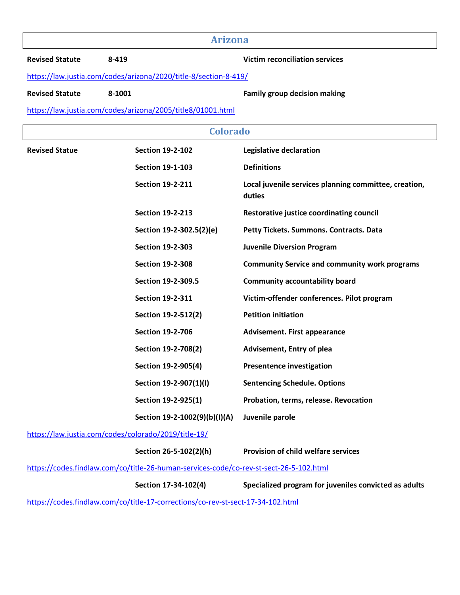# **Arizona**

**Revised Statute 8-419 Victim reconciliation services** 

https://law.justia.com/codes/arizona/2020/title-8/section-8-419/

Revised Statute **8-1001 Revised Statute 8-1001 Family group decision making** 

https://law.justia.com/codes/arizona/2005/title8/01001.html

| <b>Colorado</b>                                                                        |                               |                                                                 |  |  |  |
|----------------------------------------------------------------------------------------|-------------------------------|-----------------------------------------------------------------|--|--|--|
| <b>Revised Statue</b>                                                                  | <b>Section 19-2-102</b>       | Legislative declaration                                         |  |  |  |
|                                                                                        | <b>Section 19-1-103</b>       | <b>Definitions</b>                                              |  |  |  |
|                                                                                        | <b>Section 19-2-211</b>       | Local juvenile services planning committee, creation,<br>duties |  |  |  |
|                                                                                        | <b>Section 19-2-213</b>       | Restorative justice coordinating council                        |  |  |  |
|                                                                                        | Section 19-2-302.5(2)(e)      | Petty Tickets. Summons. Contracts. Data                         |  |  |  |
|                                                                                        | <b>Section 19-2-303</b>       | <b>Juvenile Diversion Program</b>                               |  |  |  |
|                                                                                        | <b>Section 19-2-308</b>       | <b>Community Service and community work programs</b>            |  |  |  |
|                                                                                        | Section 19-2-309.5            | <b>Community accountability board</b>                           |  |  |  |
|                                                                                        | <b>Section 19-2-311</b>       | Victim-offender conferences. Pilot program                      |  |  |  |
|                                                                                        | Section 19-2-512(2)           | <b>Petition initiation</b>                                      |  |  |  |
|                                                                                        | <b>Section 19-2-706</b>       | <b>Advisement. First appearance</b>                             |  |  |  |
|                                                                                        | Section 19-2-708(2)           | <b>Advisement, Entry of plea</b>                                |  |  |  |
|                                                                                        | Section 19-2-905(4)           | <b>Presentence investigation</b>                                |  |  |  |
|                                                                                        | Section 19-2-907(1)(I)        | <b>Sentencing Schedule. Options</b>                             |  |  |  |
|                                                                                        | Section 19-2-925(1)           | Probation, terms, release. Revocation                           |  |  |  |
|                                                                                        | Section 19-2-1002(9)(b)(I)(A) | Juvenile parole                                                 |  |  |  |
| https://law.justia.com/codes/colorado/2019/title-19/                                   |                               |                                                                 |  |  |  |
|                                                                                        | Section 26-5-102(2)(h)        | <b>Provision of child welfare services</b>                      |  |  |  |
| https://codes.findlaw.com/co/title-26-human-services-code/co-rev-st-sect-26-5-102.html |                               |                                                                 |  |  |  |
|                                                                                        | Section 17-34-102(4)          | Specialized program for juveniles convicted as adults           |  |  |  |
| https://codes.findlaw.com/co/title-17-corrections/co-rev-st-sect-17-34-102.html        |                               |                                                                 |  |  |  |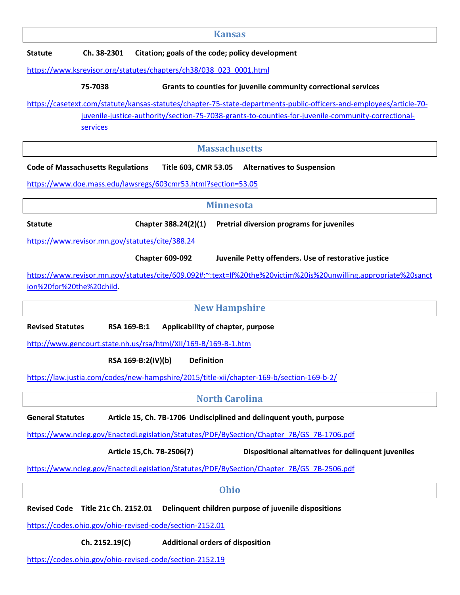| <b>Kansas</b>  |                                                                |                                                                                       |                                                                                                                                                                                                                           |  |  |  |
|----------------|----------------------------------------------------------------|---------------------------------------------------------------------------------------|---------------------------------------------------------------------------------------------------------------------------------------------------------------------------------------------------------------------------|--|--|--|
| <b>Statute</b> | Citation; goals of the code; policy development<br>Ch. 38-2301 |                                                                                       |                                                                                                                                                                                                                           |  |  |  |
|                |                                                                | https://www.ksrevisor.org/statutes/chapters/ch38/038 023 0001.html                    |                                                                                                                                                                                                                           |  |  |  |
|                | 75-7038                                                        |                                                                                       | Grants to counties for juvenile community correctional services                                                                                                                                                           |  |  |  |
|                | services                                                       |                                                                                       | https://casetext.com/statute/kansas-statutes/chapter-75-state-departments-public-officers-and-employees/article-70-<br>juvenile-justice-authority/section-75-7038-grants-to-counties-for-juvenile-community-correctional- |  |  |  |
|                |                                                                |                                                                                       | <b>Massachusetts</b>                                                                                                                                                                                                      |  |  |  |
|                | <b>Code of Massachusetts Regulations</b>                       | Title 603, CMR 53.05<br>https://www.doe.mass.edu/lawsregs/603cmr53.html?section=53.05 | <b>Alternatives to Suspension</b>                                                                                                                                                                                         |  |  |  |
|                | <b>Minnesota</b>                                               |                                                                                       |                                                                                                                                                                                                                           |  |  |  |
| <b>Statute</b> |                                                                | Chapter 388.24(2)(1)                                                                  | Pretrial diversion programs for juveniles                                                                                                                                                                                 |  |  |  |
|                |                                                                | https://www.revisor.mn.gov/statutes/cite/388.24                                       |                                                                                                                                                                                                                           |  |  |  |
|                |                                                                | <b>Chapter 609-092</b>                                                                | Juvenile Petty offenders. Use of restorative justice                                                                                                                                                                      |  |  |  |
|                | ion%20for%20the%20child.                                       |                                                                                       | https://www.revisor.mn.gov/statutes/cite/609.092#:~:text=If%20the%20victim%20is%20unwilling,appropriate%20sanct                                                                                                           |  |  |  |

**New Hampshire** 

**Revised Statutes RSA 169-B:1 Applicability of chapter, purpose** 

http://www.gencourt.state.nh.us/rsa/html/XII/169-B/169-B-1.htm

**RSA 169-B:2(IV)(b) Definition**

https://law.justia.com/codes/new-hampshire/2015/title-xii/chapter-169-b/section-169-b-2/

## **North Carolina**

General Statutes **Article 15, Ch. 7B-1706** Undisciplined and delinquent youth, purpose

https://www.ncleg.gov/EnactedLegislation/Statutes/PDF/BySection/Chapter\_7B/GS\_7B-1706.pdf

**Article 15,Ch. 7B-2506(7) Dispositional alternatives for delinquent juveniles**

https://www.ncleg.gov/EnactedLegislation/Statutes/PDF/BySection/Chapter\_7B/GS\_7B-2506.pdf

|                |   | - |                |  |
|----------------|---|---|----------------|--|
|                | i |   |                |  |
| ×<br>۰,<br>. . |   |   | M.<br>۰,<br>۰. |  |
|                |   |   |                |  |

**Revised Code Title 21c Ch. 2152.01 Delinquent children purpose of juvenile dispositions** 

https://codes.ohio.gov/ohio-revised-code/section-2152.01

**Ch. 2152.19(C) Additional orders of disposition**

https://codes.ohio.gov/ohio-revised-code/section-2152.19